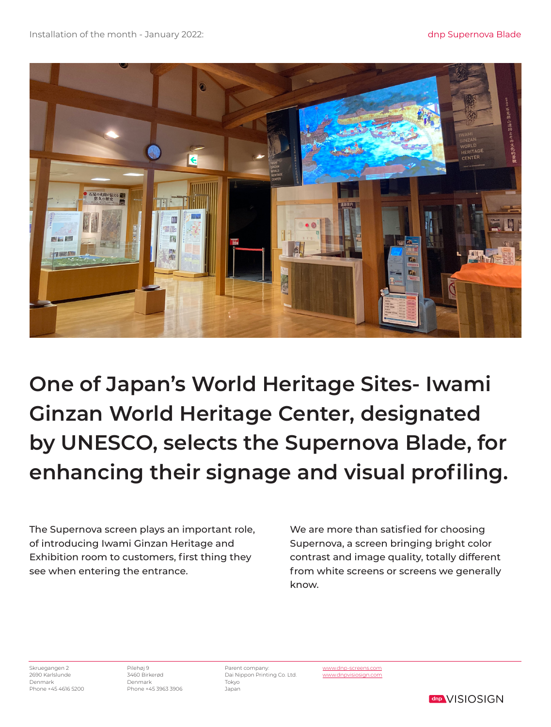

**One of Japan's World Heritage Sites- Iwami Ginzan World Heritage Center, designated by UNESCO, selects the Supernova Blade, for enhancing their signage and visual profiling.** 

The Supernova screen plays an important role, of introducing Iwami Ginzan Heritage and Exhibition room to customers, first thing they see when entering the entrance.

We are more than satisfied for choosing Supernova, a screen bringing bright color contrast and image quality, totally different from white screens or screens we generally know.

> www.dnp-screens.com www.dnpvisiosign.com

Skruegangen 2 2690 Karlslunde Denmark Phone +45 4616 5200

Pilehøj 9 3460 Birkerød Denmark Phone +45 3963 3906

Parent company: Dai Nippon Printing Co. Ltd. Tokyo Japan